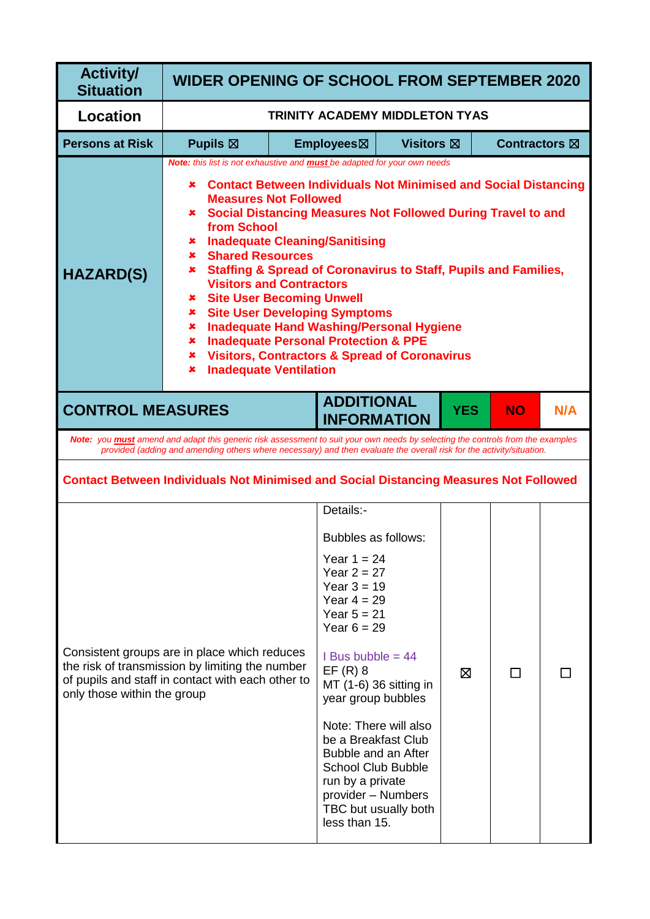| <b>Activity/</b><br><b>Situation</b> | <b>WIDER OPENING OF SCHOOL FROM SEPTEMBER 2020</b>                                                                                                                                                                                                                                                                                                                                                                                                                                                                                                                                                                                                                                                                                                                                    |  |                                                                                                                                                                                                                                                                                                                                                                 |                                                |            |                         |     |
|--------------------------------------|---------------------------------------------------------------------------------------------------------------------------------------------------------------------------------------------------------------------------------------------------------------------------------------------------------------------------------------------------------------------------------------------------------------------------------------------------------------------------------------------------------------------------------------------------------------------------------------------------------------------------------------------------------------------------------------------------------------------------------------------------------------------------------------|--|-----------------------------------------------------------------------------------------------------------------------------------------------------------------------------------------------------------------------------------------------------------------------------------------------------------------------------------------------------------------|------------------------------------------------|------------|-------------------------|-----|
| <b>Location</b>                      |                                                                                                                                                                                                                                                                                                                                                                                                                                                                                                                                                                                                                                                                                                                                                                                       |  |                                                                                                                                                                                                                                                                                                                                                                 | <b>TRINITY ACADEMY MIDDLETON TYAS</b>          |            |                         |     |
| <b>Persons at Risk</b>               | <b>Pupils</b> ⊠                                                                                                                                                                                                                                                                                                                                                                                                                                                                                                                                                                                                                                                                                                                                                                       |  | Employees⊠                                                                                                                                                                                                                                                                                                                                                      | Visitors $\boxtimes$                           |            | Contractors $\boxtimes$ |     |
| <b>HAZARD(S)</b>                     | Note: this list is not exhaustive and <b>must</b> be adapted for your own needs<br><b>*</b> Contact Between Individuals Not Minimised and Social Distancing<br><b>Measures Not Followed</b><br><b>* Social Distancing Measures Not Followed During Travel to and</b><br>from School<br><b>Inadequate Cleaning/Sanitising</b><br>×.<br><b>Shared Resources</b><br>×.<br><b>*</b> Staffing & Spread of Coronavirus to Staff, Pupils and Families,<br><b>Visitors and Contractors</b><br><b>*</b> Site User Becoming Unwell<br><b>Site User Developing Symptoms</b><br>×<br><b>Inadequate Hand Washing/Personal Hygiene</b><br>x<br><b>Inadequate Personal Protection &amp; PPE</b><br>×<br><b>*</b> Visitors, Contractors & Spread of Coronavirus<br><b>Inadequate Ventilation</b><br>× |  |                                                                                                                                                                                                                                                                                                                                                                 |                                                |            |                         |     |
| <b>CONTROL MEASURES</b>              |                                                                                                                                                                                                                                                                                                                                                                                                                                                                                                                                                                                                                                                                                                                                                                                       |  | <b>ADDITIONAL</b><br><b>INFORMATION</b>                                                                                                                                                                                                                                                                                                                         |                                                | <b>YES</b> | <b>NO</b>               | N/A |
|                                      | Note: you must amend and adapt this generic risk assessment to suit your own needs by selecting the controls from the examples<br>provided (adding and amending others where necessary) and then evaluate the overall risk for the activity/situation.                                                                                                                                                                                                                                                                                                                                                                                                                                                                                                                                |  |                                                                                                                                                                                                                                                                                                                                                                 |                                                |            |                         |     |
|                                      | <b>Contact Between Individuals Not Minimised and Social Distancing Measures Not Followed</b>                                                                                                                                                                                                                                                                                                                                                                                                                                                                                                                                                                                                                                                                                          |  |                                                                                                                                                                                                                                                                                                                                                                 |                                                |            |                         |     |
| only those within the group          | Consistent groups are in place which reduces<br>the risk of transmission by limiting the number<br>of pupils and staff in contact with each other to                                                                                                                                                                                                                                                                                                                                                                                                                                                                                                                                                                                                                                  |  | Details:-<br>Bubbles as follows:<br>Year $1 = 24$<br>Year $2 = 27$<br>Year $3 = 19$<br>Year $4 = 29$<br>Year $5 = 21$<br>Year $6 = 29$<br>$I$ Bus bubble = 44<br>$EF(R)$ 8<br>year group bubbles<br>Note: There will also<br>be a Breakfast Club<br>Bubble and an After<br><b>School Club Bubble</b><br>run by a private<br>provider - Numbers<br>less than 15. | MT (1-6) 36 sitting in<br>TBC but usually both | ⊠          |                         |     |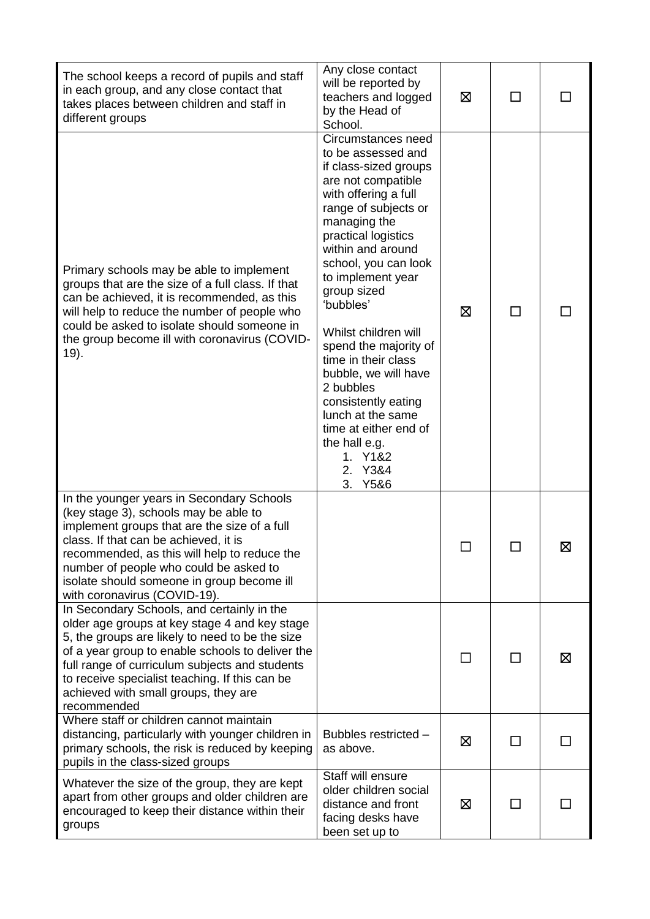| The school keeps a record of pupils and staff<br>in each group, and any close contact that<br>takes places between children and staff in<br>different groups                                                                                                                                                                                                  | Any close contact<br>will be reported by<br>teachers and logged<br>by the Head of<br>School.                                                                                                                                                                                                                                                                                                                                                                                                                        | ⊠ | П      |   |
|---------------------------------------------------------------------------------------------------------------------------------------------------------------------------------------------------------------------------------------------------------------------------------------------------------------------------------------------------------------|---------------------------------------------------------------------------------------------------------------------------------------------------------------------------------------------------------------------------------------------------------------------------------------------------------------------------------------------------------------------------------------------------------------------------------------------------------------------------------------------------------------------|---|--------|---|
| Primary schools may be able to implement<br>groups that are the size of a full class. If that<br>can be achieved, it is recommended, as this<br>will help to reduce the number of people who<br>could be asked to isolate should someone in<br>the group become ill with coronavirus (COVID-<br>19).                                                          | Circumstances need<br>to be assessed and<br>if class-sized groups<br>are not compatible<br>with offering a full<br>range of subjects or<br>managing the<br>practical logistics<br>within and around<br>school, you can look<br>to implement year<br>group sized<br>'bubbles'<br>Whilst children will<br>spend the majority of<br>time in their class<br>bubble, we will have<br>2 bubbles<br>consistently eating<br>lunch at the same<br>time at either end of<br>the hall e.g.<br>1. Y1&2<br>2. Y3&4<br>Y5&6<br>3. | ⊠ | $\Box$ |   |
| In the younger years in Secondary Schools<br>(key stage 3), schools may be able to<br>implement groups that are the size of a full<br>class. If that can be achieved, it is<br>recommended, as this will help to reduce the<br>number of people who could be asked to<br>isolate should someone in group become ill<br>with coronavirus (COVID-19).           |                                                                                                                                                                                                                                                                                                                                                                                                                                                                                                                     |   |        | ⊠ |
| In Secondary Schools, and certainly in the<br>older age groups at key stage 4 and key stage<br>5, the groups are likely to need to be the size<br>of a year group to enable schools to deliver the<br>full range of curriculum subjects and students<br>to receive specialist teaching. If this can be<br>achieved with small groups, they are<br>recommended |                                                                                                                                                                                                                                                                                                                                                                                                                                                                                                                     |   |        | ⊠ |
| Where staff or children cannot maintain<br>distancing, particularly with younger children in<br>primary schools, the risk is reduced by keeping<br>pupils in the class-sized groups                                                                                                                                                                           | Bubbles restricted -<br>as above.                                                                                                                                                                                                                                                                                                                                                                                                                                                                                   | 区 | П      |   |
| Whatever the size of the group, they are kept<br>apart from other groups and older children are<br>encouraged to keep their distance within their<br>groups                                                                                                                                                                                                   | Staff will ensure<br>older children social<br>distance and front<br>facing desks have<br>been set up to                                                                                                                                                                                                                                                                                                                                                                                                             | ⊠ | ΙI     |   |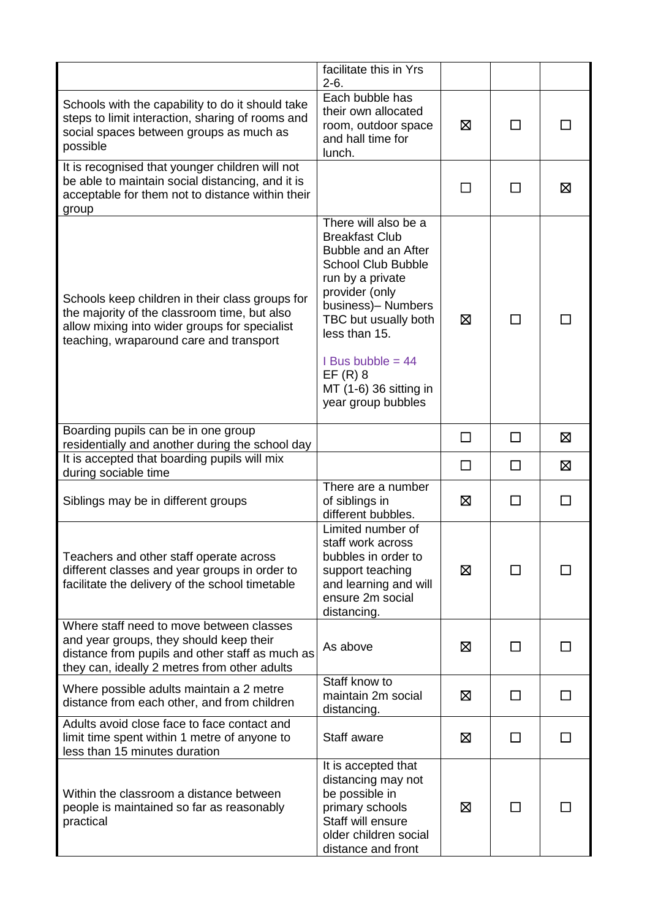|                                                                                                                                                                                             | facilitate this in Yrs<br>$2 - 6.$                                                                                                                                                                                                                                                         |         |              |   |
|---------------------------------------------------------------------------------------------------------------------------------------------------------------------------------------------|--------------------------------------------------------------------------------------------------------------------------------------------------------------------------------------------------------------------------------------------------------------------------------------------|---------|--------------|---|
| Schools with the capability to do it should take<br>steps to limit interaction, sharing of rooms and<br>social spaces between groups as much as<br>possible                                 | Each bubble has<br>their own allocated<br>room, outdoor space<br>and hall time for<br>lunch.                                                                                                                                                                                               | ⊠       |              |   |
| It is recognised that younger children will not<br>be able to maintain social distancing, and it is<br>acceptable for them not to distance within their<br>group                            |                                                                                                                                                                                                                                                                                            | $\perp$ | $\mathsf{L}$ | 区 |
| Schools keep children in their class groups for<br>the majority of the classroom time, but also<br>allow mixing into wider groups for specialist<br>teaching, wraparound care and transport | There will also be a<br><b>Breakfast Club</b><br>Bubble and an After<br><b>School Club Bubble</b><br>run by a private<br>provider (only<br>business)- Numbers<br>TBC but usually both<br>less than 15.<br>$I$ Bus bubble = 44<br>$EF(R)$ 8<br>MT (1-6) 36 sitting in<br>year group bubbles | ⊠       | ΙI           |   |
| Boarding pupils can be in one group<br>residentially and another during the school day                                                                                                      |                                                                                                                                                                                                                                                                                            | □       | □            | 区 |
| It is accepted that boarding pupils will mix<br>during sociable time                                                                                                                        |                                                                                                                                                                                                                                                                                            | П       | П            | ⊠ |
| Siblings may be in different groups                                                                                                                                                         | There are a number<br>of siblings in<br>different bubbles.                                                                                                                                                                                                                                 | ⊠       | П            |   |
| Teachers and other staff operate across<br>different classes and year groups in order to<br>facilitate the delivery of the school timetable                                                 | Limited number of<br>staff work across<br>bubbles in order to<br>support teaching<br>and learning and will<br>ensure 2m social<br>distancing.                                                                                                                                              | ⊠       |              |   |
| Where staff need to move between classes<br>and year groups, they should keep their<br>distance from pupils and other staff as much as<br>they can, ideally 2 metres from other adults      | As above                                                                                                                                                                                                                                                                                   | ⊠       | П            |   |
| Where possible adults maintain a 2 metre<br>distance from each other, and from children                                                                                                     | Staff know to<br>maintain 2m social<br>distancing.                                                                                                                                                                                                                                         | ⊠       | ΙI           |   |
| Adults avoid close face to face contact and<br>limit time spent within 1 metre of anyone to<br>less than 15 minutes duration                                                                | Staff aware                                                                                                                                                                                                                                                                                | ⊠       | □            |   |
| Within the classroom a distance between<br>people is maintained so far as reasonably<br>practical                                                                                           | It is accepted that<br>distancing may not<br>be possible in<br>primary schools<br>Staff will ensure<br>older children social<br>distance and front                                                                                                                                         | ⊠       |              |   |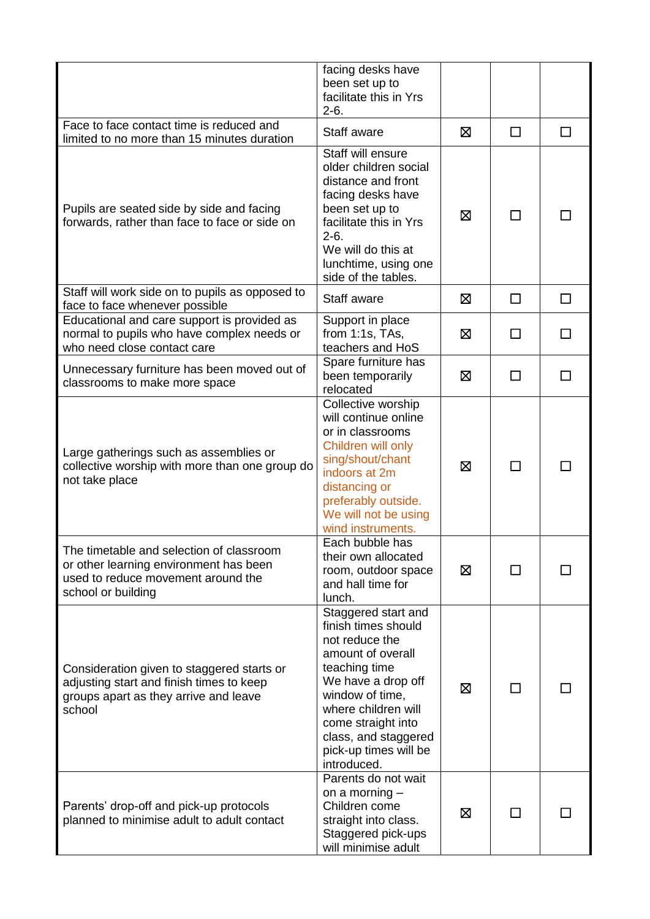|                                                                                                                                                | facing desks have<br>been set up to<br>facilitate this in Yrs<br>$2-6.$                                                                                                                                                                                  |   |              |    |
|------------------------------------------------------------------------------------------------------------------------------------------------|----------------------------------------------------------------------------------------------------------------------------------------------------------------------------------------------------------------------------------------------------------|---|--------------|----|
| Face to face contact time is reduced and<br>limited to no more than 15 minutes duration                                                        | Staff aware                                                                                                                                                                                                                                              | ⊠ | □            | ΙI |
| Pupils are seated side by side and facing<br>forwards, rather than face to face or side on                                                     | Staff will ensure<br>older children social<br>distance and front<br>facing desks have<br>been set up to<br>facilitate this in Yrs<br>$2-6.$<br>We will do this at<br>lunchtime, using one<br>side of the tables.                                         | ⊠ |              |    |
| Staff will work side on to pupils as opposed to<br>face to face whenever possible                                                              | Staff aware                                                                                                                                                                                                                                              | ⊠ | □            | П  |
| Educational and care support is provided as<br>normal to pupils who have complex needs or<br>who need close contact care                       | Support in place<br>from 1:1s, TAs,<br>teachers and HoS                                                                                                                                                                                                  | ⊠ |              |    |
| Unnecessary furniture has been moved out of<br>classrooms to make more space                                                                   | Spare furniture has<br>been temporarily<br>relocated                                                                                                                                                                                                     | ⊠ | $\mathsf{L}$ |    |
| Large gatherings such as assemblies or<br>collective worship with more than one group do<br>not take place                                     | Collective worship<br>will continue online<br>or in classrooms<br>Children will only<br>sing/shout/chant<br>indoors at 2m<br>distancing or<br>preferably outside.<br>We will not be using<br>wind instruments.                                           | ⊠ |              |    |
| The timetable and selection of classroom<br>or other learning environment has been<br>used to reduce movement around the<br>school or building | Each bubble has<br>their own allocated<br>room, outdoor space<br>and hall time for<br>lunch.                                                                                                                                                             | ⊠ |              |    |
| Consideration given to staggered starts or<br>adjusting start and finish times to keep<br>groups apart as they arrive and leave<br>school      | Staggered start and<br>finish times should<br>not reduce the<br>amount of overall<br>teaching time<br>We have a drop off<br>window of time,<br>where children will<br>come straight into<br>class, and staggered<br>pick-up times will be<br>introduced. | ⊠ | $\mathsf{L}$ |    |
| Parents' drop-off and pick-up protocols<br>planned to minimise adult to adult contact                                                          | Parents do not wait<br>on a morning $-$<br>Children come<br>straight into class.<br>Staggered pick-ups<br>will minimise adult                                                                                                                            | ⊠ |              |    |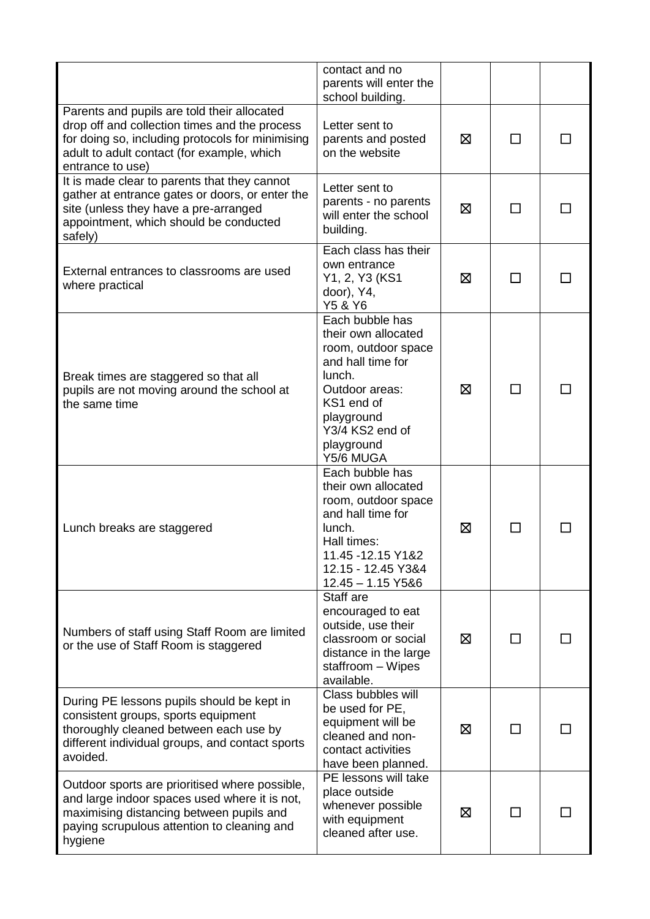|                                                                                                                                                                                                                    | contact and no<br>parents will enter the<br>school building.                                                                                                                             |   |              |  |
|--------------------------------------------------------------------------------------------------------------------------------------------------------------------------------------------------------------------|------------------------------------------------------------------------------------------------------------------------------------------------------------------------------------------|---|--------------|--|
| Parents and pupils are told their allocated<br>drop off and collection times and the process<br>for doing so, including protocols for minimising<br>adult to adult contact (for example, which<br>entrance to use) | Letter sent to<br>parents and posted<br>on the website                                                                                                                                   | ⊠ |              |  |
| It is made clear to parents that they cannot<br>gather at entrance gates or doors, or enter the<br>site (unless they have a pre-arranged<br>appointment, which should be conducted<br>safely)                      | Letter sent to<br>parents - no parents<br>will enter the school<br>building.                                                                                                             | 区 |              |  |
| External entrances to classrooms are used<br>where practical                                                                                                                                                       | Each class has their<br>own entrance<br>Y1, 2, Y3 (KS1<br>$door)$ , $Y4$ ,<br>Y5 & Y6                                                                                                    | ⊠ | $\mathsf{L}$ |  |
| Break times are staggered so that all<br>pupils are not moving around the school at<br>the same time                                                                                                               | Each bubble has<br>their own allocated<br>room, outdoor space<br>and hall time for<br>lunch.<br>Outdoor areas:<br>KS1 end of<br>playground<br>Y3/4 KS2 end of<br>playground<br>Y5/6 MUGA | ⊠ | $\mathbf{I}$ |  |
| Lunch breaks are staggered                                                                                                                                                                                         | Each bubble has<br>their own allocated<br>room, outdoor space<br>and hall time for<br>lunch.<br>Hall times:<br>11.45 - 12.15 Y1&2<br>12.15 - 12.45 Y3&4<br>$12.45 - 1.15$ Y5&6           | ⊠ |              |  |
| Numbers of staff using Staff Room are limited<br>or the use of Staff Room is staggered                                                                                                                             | Staff are<br>encouraged to eat<br>outside, use their<br>classroom or social<br>distance in the large<br>staffroom - Wipes<br>available.                                                  | ⊠ | ΙI           |  |
| During PE lessons pupils should be kept in<br>consistent groups, sports equipment<br>thoroughly cleaned between each use by<br>different individual groups, and contact sports<br>avoided.                         | Class bubbles will<br>be used for PE,<br>equipment will be<br>cleaned and non-<br>contact activities<br>have been planned.                                                               | ⊠ |              |  |
| Outdoor sports are prioritised where possible,<br>and large indoor spaces used where it is not,<br>maximising distancing between pupils and<br>paying scrupulous attention to cleaning and<br>hygiene              | PE lessons will take<br>place outside<br>whenever possible<br>with equipment<br>cleaned after use.                                                                                       | ⊠ |              |  |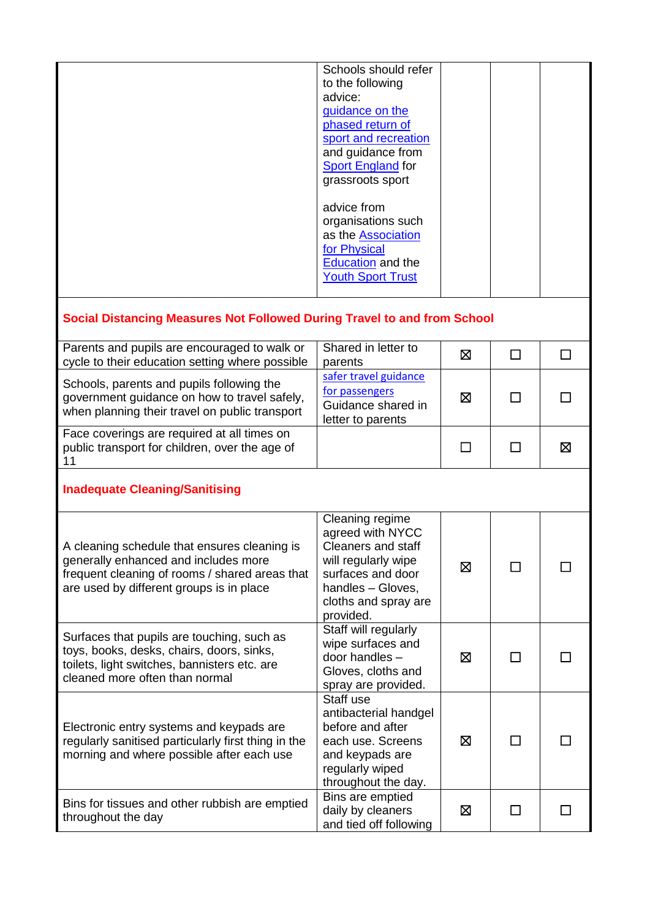|                                                                                                                                                                                    | Schools should refer<br>to the following<br>advice:<br>guidance on the<br>phased return of<br>sport and recreation<br>and guidance from<br><b>Sport England for</b><br>grassroots sport<br>advice from<br>organisations such<br>as the Association<br>for Physical<br>Education and the<br><b>Youth Sport Trust</b> |   |        |        |
|------------------------------------------------------------------------------------------------------------------------------------------------------------------------------------|---------------------------------------------------------------------------------------------------------------------------------------------------------------------------------------------------------------------------------------------------------------------------------------------------------------------|---|--------|--------|
| Social Distancing Measures Not Followed During Travel to and from School                                                                                                           |                                                                                                                                                                                                                                                                                                                     |   |        |        |
| Parents and pupils are encouraged to walk or<br>cycle to their education setting where possible                                                                                    | Shared in letter to<br>parents                                                                                                                                                                                                                                                                                      | ⊠ | $\Box$ | $\Box$ |
| Schools, parents and pupils following the<br>government guidance on how to travel safely,<br>when planning their travel on public transport                                        | safer travel guidance<br>for passengers<br>Guidance shared in<br>letter to parents                                                                                                                                                                                                                                  | ⊠ | П      |        |
| Face coverings are required at all times on<br>public transport for children, over the age of<br>11                                                                                |                                                                                                                                                                                                                                                                                                                     | П | □      | ⊠      |
| <b>Inadequate Cleaning/Sanitising</b>                                                                                                                                              |                                                                                                                                                                                                                                                                                                                     |   |        |        |
| A cleaning schedule that ensures cleaning is<br>generally enhanced and includes more<br>frequent cleaning of rooms / shared areas that<br>are used by different groups is in place | Cleaning regime<br>agreed with NYCC<br>Cleaners and staff<br>will regularly wipe<br>surfaces and door<br>handles - Gloves,<br>cloths and spray are<br>provided.                                                                                                                                                     | ⊠ | ΙI     |        |
| Surfaces that pupils are touching, such as<br>toys, books, desks, chairs, doors, sinks,<br>toilets, light switches, bannisters etc. are<br>cleaned more often than normal          | Staff will regularly<br>wipe surfaces and<br>door handles -<br>Gloves, cloths and<br>spray are provided.                                                                                                                                                                                                            | ⊠ | ΙI     |        |
| Electronic entry systems and keypads are<br>regularly sanitised particularly first thing in the<br>morning and where possible after each use                                       | Staff use<br>antibacterial handgel<br>before and after<br>each use. Screens<br>and keypads are<br>regularly wiped<br>throughout the day.                                                                                                                                                                            | ⊠ | $\Box$ |        |
| ion and other rubbieb ere                                                                                                                                                          | Bins are emptied                                                                                                                                                                                                                                                                                                    |   |        |        |

daily by cleaners and tied off following ⊠ │ □ │ □

Bins for tissues and other rubbish are emptied

throughout the day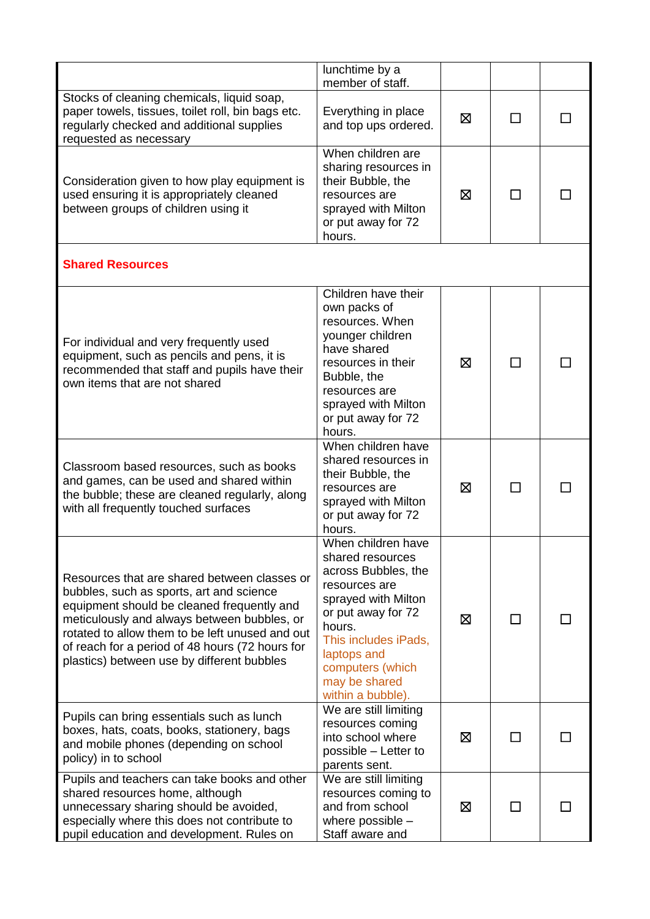|                                                                                                                                                                                                                                                                                                                                           | lunchtime by a<br>member of staff.                                                                                                                                                                                                     |   |              |  |
|-------------------------------------------------------------------------------------------------------------------------------------------------------------------------------------------------------------------------------------------------------------------------------------------------------------------------------------------|----------------------------------------------------------------------------------------------------------------------------------------------------------------------------------------------------------------------------------------|---|--------------|--|
| Stocks of cleaning chemicals, liquid soap,<br>paper towels, tissues, toilet roll, bin bags etc.<br>regularly checked and additional supplies<br>requested as necessary                                                                                                                                                                    | Everything in place<br>and top ups ordered.                                                                                                                                                                                            | 区 | П            |  |
| Consideration given to how play equipment is<br>used ensuring it is appropriately cleaned<br>between groups of children using it                                                                                                                                                                                                          | When children are<br>sharing resources in<br>their Bubble, the<br>resources are<br>sprayed with Milton<br>or put away for 72<br>hours.                                                                                                 | ⊠ | П            |  |
| <b>Shared Resources</b>                                                                                                                                                                                                                                                                                                                   |                                                                                                                                                                                                                                        |   |              |  |
| For individual and very frequently used<br>equipment, such as pencils and pens, it is<br>recommended that staff and pupils have their<br>own items that are not shared                                                                                                                                                                    | Children have their<br>own packs of<br>resources. When<br>younger children<br>have shared<br>resources in their<br>Bubble, the<br>resources are<br>sprayed with Milton<br>or put away for 72<br>hours.                                 | ⊠ |              |  |
| Classroom based resources, such as books<br>and games, can be used and shared within<br>the bubble; these are cleaned regularly, along<br>with all frequently touched surfaces                                                                                                                                                            | When children have<br>shared resources in<br>their Bubble, the<br>resources are<br>sprayed with Milton<br>or put away for 72<br>hours.                                                                                                 | ⊠ | $\mathsf{L}$ |  |
| Resources that are shared between classes or<br>bubbles, such as sports, art and science<br>equipment should be cleaned frequently and<br>meticulously and always between bubbles, or<br>rotated to allow them to be left unused and out<br>of reach for a period of 48 hours (72 hours for<br>plastics) between use by different bubbles | When children have<br>shared resources<br>across Bubbles, the<br>resources are<br>sprayed with Milton<br>or put away for 72<br>hours.<br>This includes iPads,<br>laptops and<br>computers (which<br>may be shared<br>within a bubble). | ⊠ | П            |  |
| Pupils can bring essentials such as lunch<br>boxes, hats, coats, books, stationery, bags<br>and mobile phones (depending on school<br>policy) in to school                                                                                                                                                                                | We are still limiting<br>resources coming<br>into school where<br>possible - Letter to<br>parents sent.                                                                                                                                | ⊠ | ΙI           |  |
| Pupils and teachers can take books and other<br>shared resources home, although<br>unnecessary sharing should be avoided,<br>especially where this does not contribute to<br>pupil education and development. Rules on                                                                                                                    | We are still limiting<br>resources coming to<br>and from school<br>where possible -<br>Staff aware and                                                                                                                                 | ⊠ |              |  |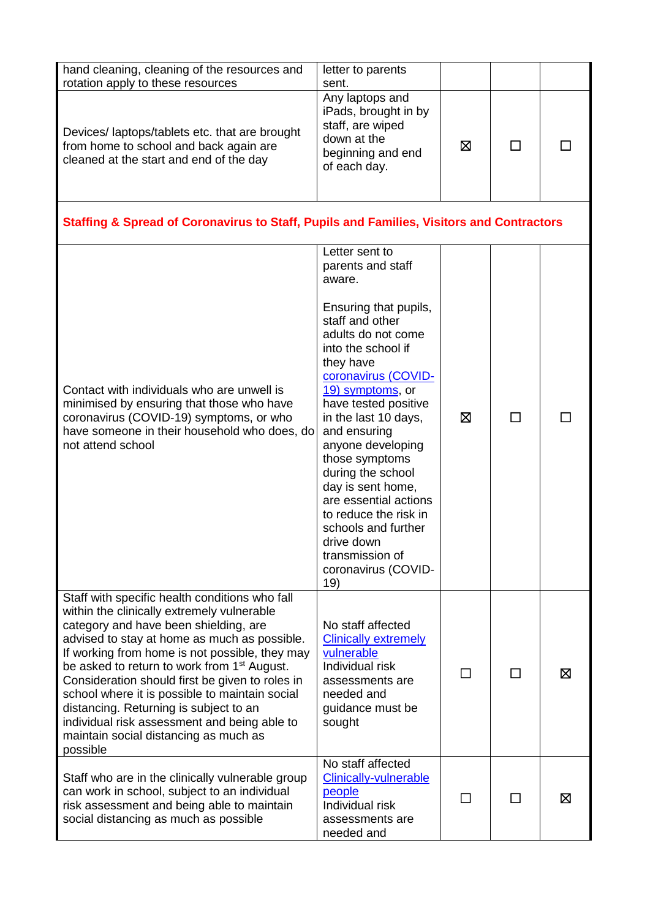| hand cleaning, cleaning of the resources and<br>rotation apply to these resources                                                                                                                                                                                                                                                                                                                                                                                                                                                                      | letter to parents<br>sent.                                                                                                                                                                                                                                                                                                                                                                                                                                                             |   |              |   |
|--------------------------------------------------------------------------------------------------------------------------------------------------------------------------------------------------------------------------------------------------------------------------------------------------------------------------------------------------------------------------------------------------------------------------------------------------------------------------------------------------------------------------------------------------------|----------------------------------------------------------------------------------------------------------------------------------------------------------------------------------------------------------------------------------------------------------------------------------------------------------------------------------------------------------------------------------------------------------------------------------------------------------------------------------------|---|--------------|---|
| Devices/ laptops/tablets etc. that are brought<br>from home to school and back again are<br>cleaned at the start and end of the day                                                                                                                                                                                                                                                                                                                                                                                                                    | Any laptops and<br>iPads, brought in by<br>staff, are wiped<br>down at the<br>beginning and end<br>of each day.                                                                                                                                                                                                                                                                                                                                                                        | ⊠ | $\mathsf{L}$ |   |
| <b>Staffing &amp; Spread of Coronavirus to Staff, Pupils and Families, Visitors and Contractors</b>                                                                                                                                                                                                                                                                                                                                                                                                                                                    |                                                                                                                                                                                                                                                                                                                                                                                                                                                                                        |   |              |   |
| Contact with individuals who are unwell is<br>minimised by ensuring that those who have<br>coronavirus (COVID-19) symptoms, or who<br>have someone in their household who does, do<br>not attend school                                                                                                                                                                                                                                                                                                                                                | Letter sent to<br>parents and staff<br>aware.<br>Ensuring that pupils,<br>staff and other<br>adults do not come<br>into the school if<br>they have<br>coronavirus (COVID-<br>19) symptoms, or<br>have tested positive<br>in the last 10 days,<br>and ensuring<br>anyone developing<br>those symptoms<br>during the school<br>day is sent home,<br>are essential actions<br>to reduce the risk in<br>schools and further<br>drive down<br>transmission of<br>coronavirus (COVID-<br>19) | ⊠ |              |   |
| Staff with specific health conditions who fall<br>within the clinically extremely vulnerable<br>category and have been shielding, are<br>advised to stay at home as much as possible.<br>If working from home is not possible, they may<br>be asked to return to work from 1 <sup>st</sup> August.<br>Consideration should first be given to roles in<br>school where it is possible to maintain social<br>distancing. Returning is subject to an<br>individual risk assessment and being able to<br>maintain social distancing as much as<br>possible | No staff affected<br><b>Clinically extremely</b><br>vulnerable<br>Individual risk<br>assessments are<br>needed and<br>guidance must be<br>sought                                                                                                                                                                                                                                                                                                                                       |   |              | ⊠ |
| Staff who are in the clinically vulnerable group<br>can work in school, subject to an individual<br>risk assessment and being able to maintain<br>social distancing as much as possible                                                                                                                                                                                                                                                                                                                                                                | No staff affected<br>Clinically-vulnerable<br>people<br>Individual risk<br>assessments are<br>needed and                                                                                                                                                                                                                                                                                                                                                                               |   |              | ⊠ |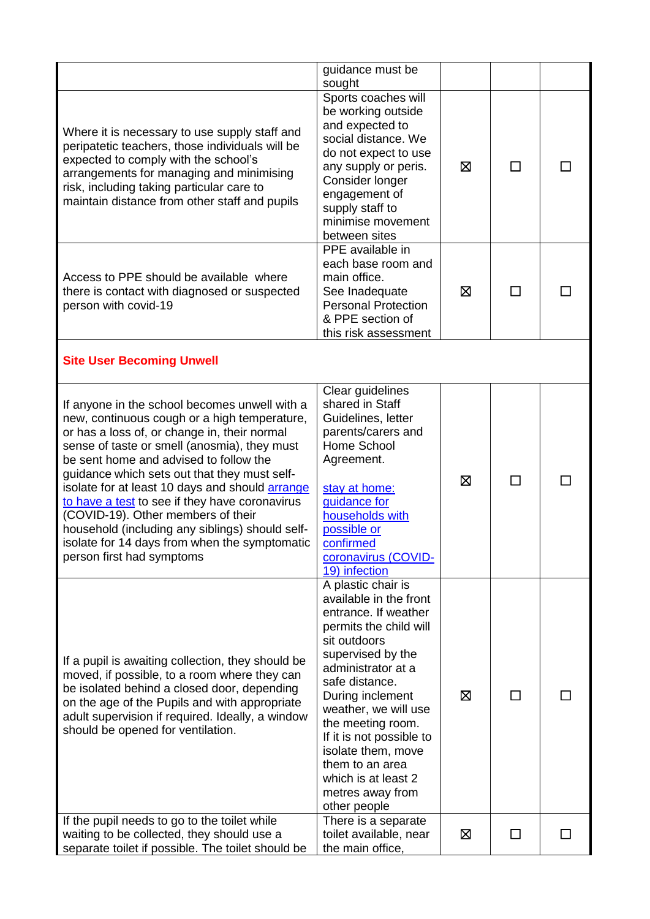|                                                                                                                                                                                                                                                                                                                                                                                                                                                                                                                                                                            | guidance must be<br>sought                                                                                                                                                                                                                                                                                                                                                   |   |              |  |
|----------------------------------------------------------------------------------------------------------------------------------------------------------------------------------------------------------------------------------------------------------------------------------------------------------------------------------------------------------------------------------------------------------------------------------------------------------------------------------------------------------------------------------------------------------------------------|------------------------------------------------------------------------------------------------------------------------------------------------------------------------------------------------------------------------------------------------------------------------------------------------------------------------------------------------------------------------------|---|--------------|--|
| Where it is necessary to use supply staff and<br>peripatetic teachers, those individuals will be<br>expected to comply with the school's<br>arrangements for managing and minimising<br>risk, including taking particular care to<br>maintain distance from other staff and pupils                                                                                                                                                                                                                                                                                         | Sports coaches will<br>be working outside<br>and expected to<br>social distance. We<br>do not expect to use<br>any supply or peris.<br>Consider longer<br>engagement of<br>supply staff to<br>minimise movement<br>between sites                                                                                                                                             | ⊠ | ΙI           |  |
| Access to PPE should be available where<br>there is contact with diagnosed or suspected<br>person with covid-19                                                                                                                                                                                                                                                                                                                                                                                                                                                            | PPE available in<br>each base room and<br>main office.<br>See Inadequate<br><b>Personal Protection</b><br>& PPE section of<br>this risk assessment                                                                                                                                                                                                                           | 区 | $\mathsf{L}$ |  |
| <b>Site User Becoming Unwell</b>                                                                                                                                                                                                                                                                                                                                                                                                                                                                                                                                           |                                                                                                                                                                                                                                                                                                                                                                              |   |              |  |
| If anyone in the school becomes unwell with a<br>new, continuous cough or a high temperature,<br>or has a loss of, or change in, their normal<br>sense of taste or smell (anosmia), they must<br>be sent home and advised to follow the<br>guidance which sets out that they must self-<br>isolate for at least 10 days and should <b>arrange</b><br>to have a test to see if they have coronavirus<br>(COVID-19). Other members of their<br>household (including any siblings) should self-<br>isolate for 14 days from when the symptomatic<br>person first had symptoms | Clear guidelines<br>shared in Staff<br>Guidelines, letter<br>parents/carers and<br>Home School<br>Agreement.<br>stay at home:<br>guidance for<br>households with<br>possible or<br>confirmed<br>coronavirus (COVID-<br>19) infection                                                                                                                                         | ⊠ |              |  |
| If a pupil is awaiting collection, they should be<br>moved, if possible, to a room where they can<br>be isolated behind a closed door, depending<br>on the age of the Pupils and with appropriate<br>adult supervision if required. Ideally, a window<br>should be opened for ventilation.                                                                                                                                                                                                                                                                                 | A plastic chair is<br>available in the front<br>entrance. If weather<br>permits the child will<br>sit outdoors<br>supervised by the<br>administrator at a<br>safe distance.<br>During inclement<br>weather, we will use<br>the meeting room.<br>If it is not possible to<br>isolate them, move<br>them to an area<br>which is at least 2<br>metres away from<br>other people | ⊠ |              |  |
| If the pupil needs to go to the toilet while<br>waiting to be collected, they should use a<br>separate toilet if possible. The toilet should be                                                                                                                                                                                                                                                                                                                                                                                                                            | There is a separate<br>toilet available, near<br>the main office,                                                                                                                                                                                                                                                                                                            | ⊠ |              |  |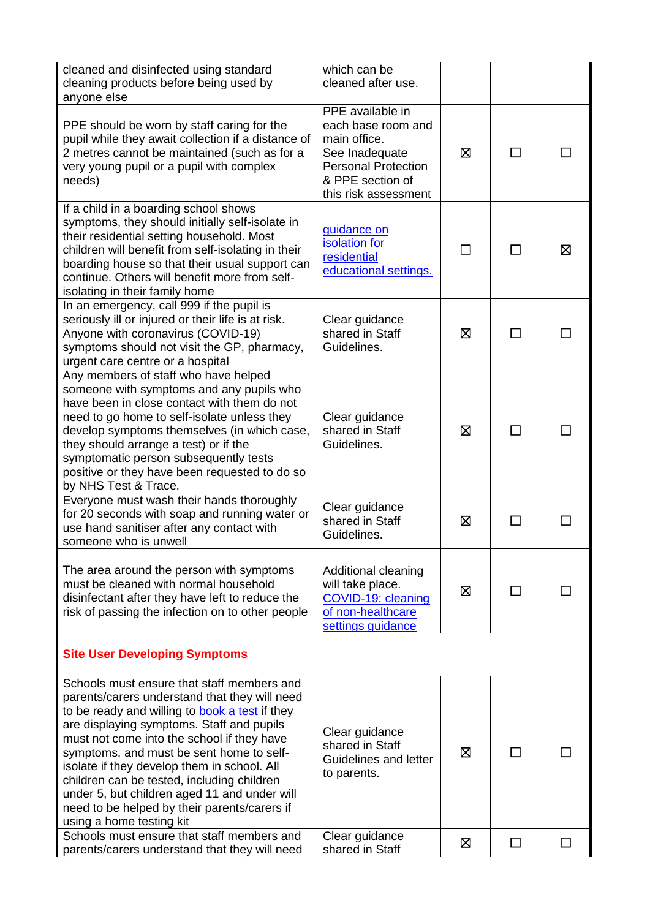| cleaned and disinfected using standard<br>cleaning products before being used by<br>anyone else                                                                                                                                                                                                                                                                                                                                                                                                               | which can be<br>cleaned after use.                                                                                                                 |   |               |   |
|---------------------------------------------------------------------------------------------------------------------------------------------------------------------------------------------------------------------------------------------------------------------------------------------------------------------------------------------------------------------------------------------------------------------------------------------------------------------------------------------------------------|----------------------------------------------------------------------------------------------------------------------------------------------------|---|---------------|---|
| PPE should be worn by staff caring for the<br>pupil while they await collection if a distance of<br>2 metres cannot be maintained (such as for a<br>very young pupil or a pupil with complex<br>needs)                                                                                                                                                                                                                                                                                                        | PPE available in<br>each base room and<br>main office.<br>See Inadequate<br><b>Personal Protection</b><br>& PPE section of<br>this risk assessment | ⊠ | ΙI            |   |
| If a child in a boarding school shows<br>symptoms, they should initially self-isolate in<br>their residential setting household. Most<br>children will benefit from self-isolating in their<br>boarding house so that their usual support can<br>continue. Others will benefit more from self-<br>isolating in their family home                                                                                                                                                                              | quidance on<br>isolation for<br>residential<br>educational settings.                                                                               | П | П             | ⊠ |
| In an emergency, call 999 if the pupil is<br>seriously ill or injured or their life is at risk.<br>Anyone with coronavirus (COVID-19)<br>symptoms should not visit the GP, pharmacy,<br>urgent care centre or a hospital                                                                                                                                                                                                                                                                                      | Clear guidance<br>shared in Staff<br>Guidelines.                                                                                                   | ⊠ |               |   |
| Any members of staff who have helped<br>someone with symptoms and any pupils who<br>have been in close contact with them do not<br>need to go home to self-isolate unless they<br>develop symptoms themselves (in which case,<br>they should arrange a test) or if the<br>symptomatic person subsequently tests<br>positive or they have been requested to do so<br>by NHS Test & Trace.                                                                                                                      | Clear guidance<br>shared in Staff<br>Guidelines.                                                                                                   | ⊠ |               |   |
| Everyone must wash their hands thoroughly<br>for 20 seconds with soap and running water or<br>use hand sanitiser after any contact with<br>someone who is unwell                                                                                                                                                                                                                                                                                                                                              | Clear guidance<br>shared in Staff<br>Guidelines.                                                                                                   | ⊠ | $\mathcal{L}$ |   |
| The area around the person with symptoms<br>must be cleaned with normal household<br>disinfectant after they have left to reduce the<br>risk of passing the infection on to other people                                                                                                                                                                                                                                                                                                                      | Additional cleaning<br>will take place.<br>COVID-19: cleaning<br>of non-healthcare<br>settings guidance                                            | 区 | ΙI            |   |
| <b>Site User Developing Symptoms</b>                                                                                                                                                                                                                                                                                                                                                                                                                                                                          |                                                                                                                                                    |   |               |   |
| Schools must ensure that staff members and<br>parents/carers understand that they will need<br>to be ready and willing to book a test if they<br>are displaying symptoms. Staff and pupils<br>must not come into the school if they have<br>symptoms, and must be sent home to self-<br>isolate if they develop them in school. All<br>children can be tested, including children<br>under 5, but children aged 11 and under will<br>need to be helped by their parents/carers if<br>using a home testing kit | Clear guidance<br>shared in Staff<br>Guidelines and letter<br>to parents.                                                                          | ⊠ |               |   |
| Schools must ensure that staff members and<br>parents/carers understand that they will need                                                                                                                                                                                                                                                                                                                                                                                                                   | Clear guidance<br>shared in Staff                                                                                                                  | ⊠ | $\Box$        |   |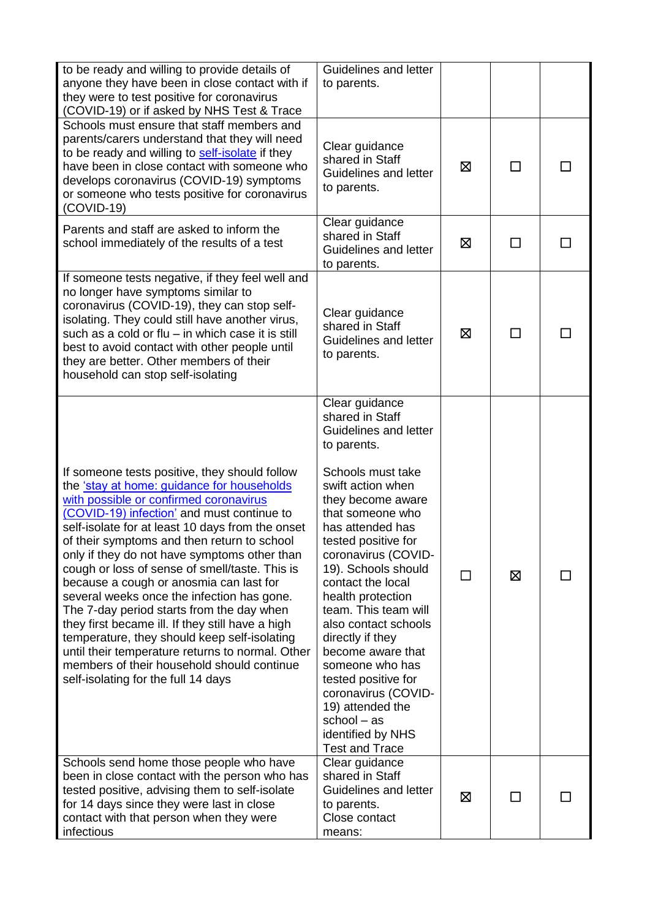| to be ready and willing to provide details of<br>anyone they have been in close contact with if<br>they were to test positive for coronavirus<br>(COVID-19) or if asked by NHS Test & Trace                                                                                                                                                                                                                                                                                                                                                                                                                                                                                                                                                                                 | Guidelines and letter<br>to parents.                                                                                                                                                                                                                                                                                                                                                                                                                                                                                                         |   |              |  |
|-----------------------------------------------------------------------------------------------------------------------------------------------------------------------------------------------------------------------------------------------------------------------------------------------------------------------------------------------------------------------------------------------------------------------------------------------------------------------------------------------------------------------------------------------------------------------------------------------------------------------------------------------------------------------------------------------------------------------------------------------------------------------------|----------------------------------------------------------------------------------------------------------------------------------------------------------------------------------------------------------------------------------------------------------------------------------------------------------------------------------------------------------------------------------------------------------------------------------------------------------------------------------------------------------------------------------------------|---|--------------|--|
| Schools must ensure that staff members and<br>parents/carers understand that they will need<br>to be ready and willing to self-isolate if they<br>have been in close contact with someone who<br>develops coronavirus (COVID-19) symptoms<br>or someone who tests positive for coronavirus<br>$(COVID-19)$                                                                                                                                                                                                                                                                                                                                                                                                                                                                  | Clear guidance<br>shared in Staff<br>Guidelines and letter<br>to parents.                                                                                                                                                                                                                                                                                                                                                                                                                                                                    | 区 | $\mathsf{L}$ |  |
| Parents and staff are asked to inform the<br>school immediately of the results of a test                                                                                                                                                                                                                                                                                                                                                                                                                                                                                                                                                                                                                                                                                    | Clear guidance<br>shared in Staff<br>Guidelines and letter<br>to parents.                                                                                                                                                                                                                                                                                                                                                                                                                                                                    | ⊠ |              |  |
| If someone tests negative, if they feel well and<br>no longer have symptoms similar to<br>coronavirus (COVID-19), they can stop self-<br>isolating. They could still have another virus,<br>such as a cold or flu - in which case it is still<br>best to avoid contact with other people until<br>they are better. Other members of their<br>household can stop self-isolating                                                                                                                                                                                                                                                                                                                                                                                              | Clear guidance<br>shared in Staff<br>Guidelines and letter<br>to parents.                                                                                                                                                                                                                                                                                                                                                                                                                                                                    | ⊠ |              |  |
| If someone tests positive, they should follow<br>the 'stay at home: guidance for households<br>with possible or confirmed coronavirus<br>(COVID-19) infection' and must continue to<br>self-isolate for at least 10 days from the onset<br>of their symptoms and then return to school<br>only if they do not have symptoms other than<br>cough or loss of sense of smell/taste. This is<br>because a cough or anosmia can last for<br>several weeks once the infection has gone.<br>The 7-day period starts from the day when<br>they first became ill. If they still have a high<br>temperature, they should keep self-isolating<br>until their temperature returns to normal. Other<br>members of their household should continue<br>self-isolating for the full 14 days | Clear guidance<br>shared in Staff<br>Guidelines and letter<br>to parents.<br>Schools must take<br>swift action when<br>they become aware<br>that someone who<br>has attended has<br>tested positive for<br>coronavirus (COVID-<br>19). Schools should<br>contact the local<br>health protection<br>team. This team will<br>also contact schools<br>directly if they<br>become aware that<br>someone who has<br>tested positive for<br>coronavirus (COVID-<br>19) attended the<br>$school - as$<br>identified by NHS<br><b>Test and Trace</b> |   | ⊠            |  |
| Schools send home those people who have<br>been in close contact with the person who has<br>tested positive, advising them to self-isolate<br>for 14 days since they were last in close<br>contact with that person when they were<br>infectious                                                                                                                                                                                                                                                                                                                                                                                                                                                                                                                            | Clear guidance<br>shared in Staff<br>Guidelines and letter<br>to parents.<br>Close contact<br>means:                                                                                                                                                                                                                                                                                                                                                                                                                                         | ⊠ | $\Box$       |  |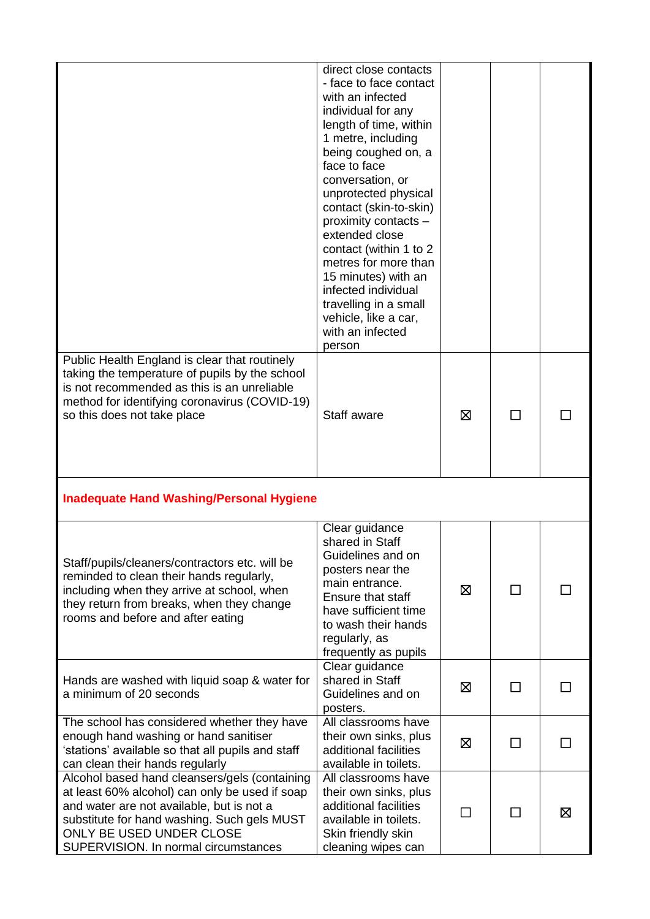|                                                                                                                                                                                                                                                                 | direct close contacts<br>- face to face contact<br>with an infected<br>individual for any<br>length of time, within<br>1 metre, including<br>being coughed on, a<br>face to face<br>conversation, or<br>unprotected physical<br>contact (skin-to-skin)<br>proximity contacts -<br>extended close<br>contact (within 1 to 2<br>metres for more than<br>15 minutes) with an<br>infected individual<br>travelling in a small<br>vehicle, like a car,<br>with an infected<br>person |    |              |   |
|-----------------------------------------------------------------------------------------------------------------------------------------------------------------------------------------------------------------------------------------------------------------|---------------------------------------------------------------------------------------------------------------------------------------------------------------------------------------------------------------------------------------------------------------------------------------------------------------------------------------------------------------------------------------------------------------------------------------------------------------------------------|----|--------------|---|
| Public Health England is clear that routinely<br>taking the temperature of pupils by the school<br>is not recommended as this is an unreliable<br>method for identifying coronavirus (COVID-19)<br>so this does not take place                                  | Staff aware                                                                                                                                                                                                                                                                                                                                                                                                                                                                     | ⊠  |              |   |
| <b>Inadequate Hand Washing/Personal Hygiene</b>                                                                                                                                                                                                                 |                                                                                                                                                                                                                                                                                                                                                                                                                                                                                 |    |              |   |
| Staff/pupils/cleaners/contractors etc. will be<br>reminded to clean their hands regularly,<br>including when they arrive at school, when<br>they return from breaks, when they change<br>rooms and before and after eating                                      | Clear guidance<br>shared in Staff<br>Guidelines and on<br>posters near the<br>main entrance.<br>Ensure that staff<br>have sufficient time<br>to wash their hands<br>regularly, as<br>frequently as pupils                                                                                                                                                                                                                                                                       | ⊠  | $\mathbf{I}$ |   |
| Hands are washed with liquid soap & water for<br>a minimum of 20 seconds                                                                                                                                                                                        | Clear guidance<br>shared in Staff<br>Guidelines and on<br>posters.                                                                                                                                                                                                                                                                                                                                                                                                              | ⊠  | ΙI           |   |
| The school has considered whether they have<br>enough hand washing or hand sanitiser<br>'stations' available so that all pupils and staff<br>can clean their hands regularly                                                                                    | All classrooms have<br>their own sinks, plus<br>additional facilities<br>available in toilets.                                                                                                                                                                                                                                                                                                                                                                                  | ⊠  | ΙI           |   |
| Alcohol based hand cleansers/gels (containing<br>at least 60% alcohol) can only be used if soap<br>and water are not available, but is not a<br>substitute for hand washing. Such gels MUST<br>ONLY BE USED UNDER CLOSE<br>SUPERVISION. In normal circumstances | All classrooms have<br>their own sinks, plus<br>additional facilities<br>available in toilets.<br>Skin friendly skin<br>cleaning wipes can                                                                                                                                                                                                                                                                                                                                      | ΙI |              | 区 |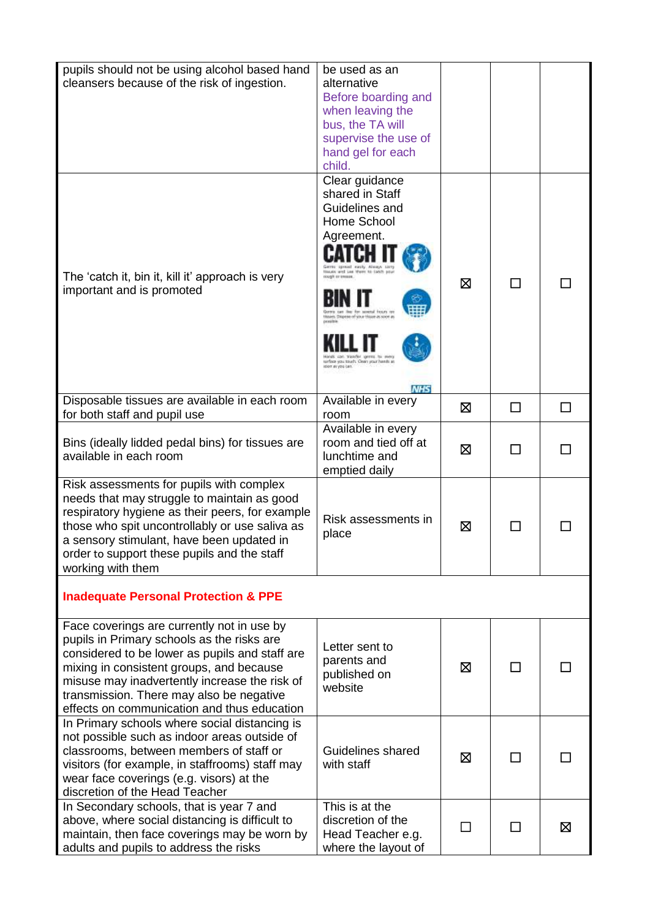| pupils should not be using alcohol based hand<br>cleansers because of the risk of ingestion.                                                                                                                                                                                                                                       | be used as an<br>alternative<br>Before boarding and<br>when leaving the<br>bus, the TA will<br>supervise the use of<br>hand gel for each<br>child.                                                                                                                       |    |              |   |  |  |
|------------------------------------------------------------------------------------------------------------------------------------------------------------------------------------------------------------------------------------------------------------------------------------------------------------------------------------|--------------------------------------------------------------------------------------------------------------------------------------------------------------------------------------------------------------------------------------------------------------------------|----|--------------|---|--|--|
| The 'catch it, bin it, kill it' approach is very<br>important and is promoted                                                                                                                                                                                                                                                      | Clear guidance<br>shared in Staff<br>Guidelines and<br>Home School<br>Agreement.<br>Gerritz apresed easily Always they<br>Houses and Last Water to canch an<br>tesare n<br>Mike Hisser Jo soon a<br>urbo you touch. Clean your hands at<br>007.81 you Lan.<br><b>NHS</b> | ⊠  | $\Box$       |   |  |  |
| Disposable tissues are available in each room<br>for both staff and pupil use                                                                                                                                                                                                                                                      | Available in every<br>room                                                                                                                                                                                                                                               | 区  | П            |   |  |  |
| Bins (ideally lidded pedal bins) for tissues are<br>available in each room                                                                                                                                                                                                                                                         | Available in every<br>room and tied off at<br>lunchtime and<br>emptied daily                                                                                                                                                                                             | ⊠  |              |   |  |  |
| Risk assessments for pupils with complex<br>needs that may struggle to maintain as good<br>respiratory hygiene as their peers, for example<br>those who spit uncontrollably or use saliva as<br>a sensory stimulant, have been updated in<br>order to support these pupils and the staff<br>working with them                      | Risk assessments in<br>place                                                                                                                                                                                                                                             | ⊠  | $\mathsf{L}$ |   |  |  |
| <b>Inadequate Personal Protection &amp; PPE</b>                                                                                                                                                                                                                                                                                    |                                                                                                                                                                                                                                                                          |    |              |   |  |  |
| Face coverings are currently not in use by<br>pupils in Primary schools as the risks are<br>considered to be lower as pupils and staff are<br>mixing in consistent groups, and because<br>misuse may inadvertently increase the risk of<br>transmission. There may also be negative<br>effects on communication and thus education | Letter sent to<br>parents and<br>published on<br>website                                                                                                                                                                                                                 | ⊠  |              |   |  |  |
| In Primary schools where social distancing is<br>not possible such as indoor areas outside of<br>classrooms, between members of staff or<br>visitors (for example, in staffrooms) staff may<br>wear face coverings (e.g. visors) at the<br>discretion of the Head Teacher                                                          | Guidelines shared<br>with staff                                                                                                                                                                                                                                          | ⊠  |              |   |  |  |
| In Secondary schools, that is year 7 and<br>above, where social distancing is difficult to<br>maintain, then face coverings may be worn by<br>adults and pupils to address the risks                                                                                                                                               | This is at the<br>discretion of the<br>Head Teacher e.g.<br>where the layout of                                                                                                                                                                                          | ΙI | $\mathsf{L}$ | ⊠ |  |  |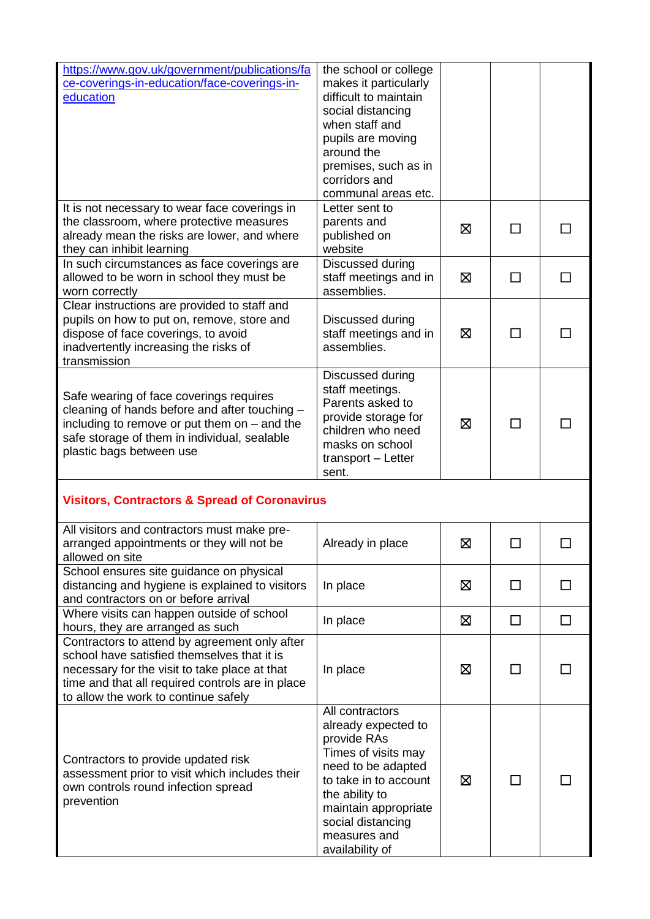| https://www.gov.uk/government/publications/fa<br>ce-coverings-in-education/face-coverings-in-<br>education                                                                                                                                | the school or college<br>makes it particularly<br>difficult to maintain<br>social distancing<br>when staff and<br>pupils are moving<br>around the<br>premises, such as in<br>corridors and<br>communal areas etc.             |   |                          |               |
|-------------------------------------------------------------------------------------------------------------------------------------------------------------------------------------------------------------------------------------------|-------------------------------------------------------------------------------------------------------------------------------------------------------------------------------------------------------------------------------|---|--------------------------|---------------|
| It is not necessary to wear face coverings in<br>the classroom, where protective measures<br>already mean the risks are lower, and where<br>they can inhibit learning                                                                     | Letter sent to<br>parents and<br>published on<br>website                                                                                                                                                                      | ⊠ | ΙI                       |               |
| In such circumstances as face coverings are<br>allowed to be worn in school they must be<br>worn correctly                                                                                                                                | Discussed during<br>staff meetings and in<br>assemblies.                                                                                                                                                                      | X | $\overline{\phantom{0}}$ | $\mathcal{L}$ |
| Clear instructions are provided to staff and<br>pupils on how to put on, remove, store and<br>dispose of face coverings, to avoid<br>inadvertently increasing the risks of<br>transmission                                                | Discussed during<br>staff meetings and in<br>assemblies.                                                                                                                                                                      | ⊠ | $\mathsf{L}$             |               |
| Safe wearing of face coverings requires<br>cleaning of hands before and after touching -<br>including to remove or put them on $-$ and the<br>safe storage of them in individual, sealable<br>plastic bags between use                    | Discussed during<br>staff meetings.<br>Parents asked to<br>provide storage for<br>children who need<br>masks on school<br>transport - Letter<br>sent.                                                                         | ⊠ | $\mathsf{L}$             |               |
| <b>Visitors, Contractors &amp; Spread of Coronavirus</b>                                                                                                                                                                                  |                                                                                                                                                                                                                               |   |                          |               |
| All visitors and contractors must make pre-<br>arranged appointments or they will not be<br>allowed on site                                                                                                                               | Already in place                                                                                                                                                                                                              | Ø |                          |               |
| School ensures site guidance on physical<br>distancing and hygiene is explained to visitors<br>and contractors on or before arrival                                                                                                       | In place                                                                                                                                                                                                                      | 区 | $\Box$                   | $\Box$        |
| Where visits can happen outside of school<br>hours, they are arranged as such                                                                                                                                                             | In place                                                                                                                                                                                                                      | ⊠ | □                        | $\Box$        |
| Contractors to attend by agreement only after<br>school have satisfied themselves that it is<br>necessary for the visit to take place at that<br>time and that all required controls are in place<br>to allow the work to continue safely | In place                                                                                                                                                                                                                      | ⊠ | ΙI                       |               |
| Contractors to provide updated risk<br>assessment prior to visit which includes their<br>own controls round infection spread<br>prevention                                                                                                | All contractors<br>already expected to<br>provide RAs<br>Times of visits may<br>need to be adapted<br>to take in to account<br>the ability to<br>maintain appropriate<br>social distancing<br>measures and<br>availability of | ⊠ | П                        |               |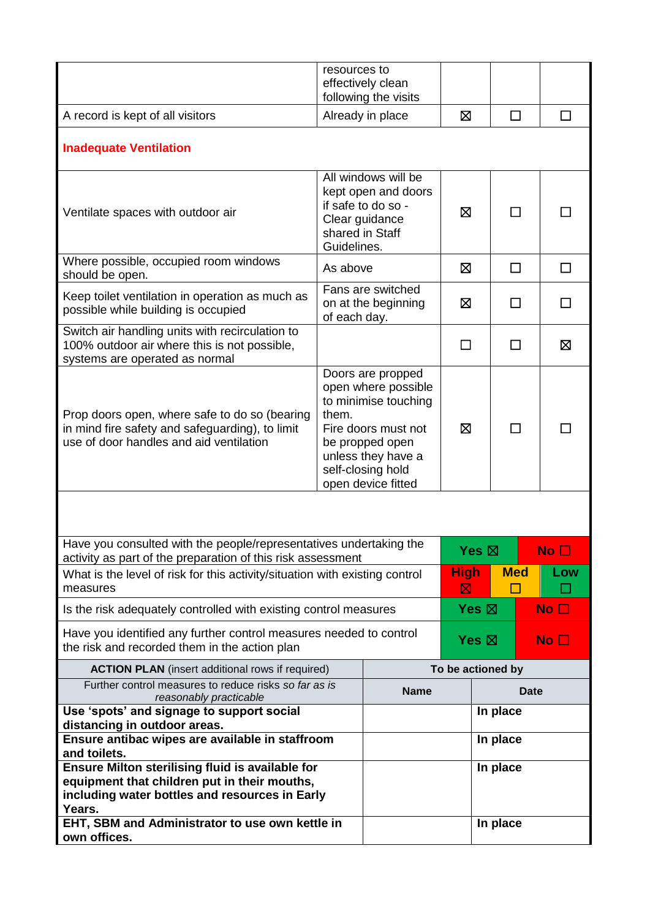|                                                                                                                                             | resources to                                     | effectively clean                                                                                                                                                           |                   |          |              |              |
|---------------------------------------------------------------------------------------------------------------------------------------------|--------------------------------------------------|-----------------------------------------------------------------------------------------------------------------------------------------------------------------------------|-------------------|----------|--------------|--------------|
| A record is kept of all visitors                                                                                                            |                                                  | following the visits<br>Already in place                                                                                                                                    | ⊠                 |          | П            |              |
|                                                                                                                                             |                                                  |                                                                                                                                                                             |                   |          |              |              |
| <b>Inadequate Ventilation</b>                                                                                                               |                                                  |                                                                                                                                                                             |                   |          |              |              |
| Ventilate spaces with outdoor air                                                                                                           | Clear guidance<br>shared in Staff<br>Guidelines. | All windows will be<br>kept open and doors<br>if safe to do so -                                                                                                            | ⊠<br>П            |          |              |              |
| Where possible, occupied room windows<br>should be open.                                                                                    | As above                                         |                                                                                                                                                                             | ⊠<br>П            |          | ΙI           |              |
| Keep toilet ventilation in operation as much as<br>possible while building is occupied                                                      | of each day.                                     | Fans are switched<br>on at the beginning                                                                                                                                    | ⊠<br>$\mathsf{L}$ |          |              |              |
| Switch air handling units with recirculation to<br>100% outdoor air where this is not possible,<br>systems are operated as normal           |                                                  |                                                                                                                                                                             | $\Box$            |          |              | ⊠            |
| Prop doors open, where safe to do so (bearing<br>in mind fire safety and safeguarding), to limit<br>use of door handles and aid ventilation | them.                                            | Doors are propped<br>open where possible<br>to minimise touching<br>Fire doors must not<br>be propped open<br>unless they have a<br>self-closing hold<br>open device fitted | ⊠<br>ΙI           |          |              |              |
|                                                                                                                                             |                                                  |                                                                                                                                                                             |                   |          |              |              |
| Have you consulted with the people/representatives undertaking the<br>activity as part of the preparation of this risk assessment           |                                                  |                                                                                                                                                                             | Yes ⊠             |          | No $\square$ |              |
| What is the level of risk for this activity/situation with existing control                                                                 |                                                  |                                                                                                                                                                             | <b>High</b>       |          | <b>Med</b>   | Low          |
| measures                                                                                                                                    |                                                  |                                                                                                                                                                             | 区                 |          |              |              |
| Is the risk adequately controlled with existing control measures                                                                            |                                                  |                                                                                                                                                                             | Yes $\boxtimes$   |          |              | No $\square$ |
| Have you identified any further control measures needed to control<br>the risk and recorded them in the action plan                         |                                                  | Yes $\boxtimes$                                                                                                                                                             |                   |          | No $\Box$    |              |
| <b>ACTION PLAN</b> (insert additional rows if required)                                                                                     |                                                  |                                                                                                                                                                             | To be actioned by |          |              |              |
| Further control measures to reduce risks so far as is<br>reasonably practicable                                                             |                                                  | <b>Name</b>                                                                                                                                                                 |                   |          | <b>Date</b>  |              |
| Use 'spots' and signage to support social                                                                                                   |                                                  |                                                                                                                                                                             | In place          |          |              |              |
| distancing in outdoor areas.                                                                                                                |                                                  |                                                                                                                                                                             |                   |          |              |              |
| Ensure antibac wipes are available in staffroom<br>and toilets.                                                                             |                                                  | In place                                                                                                                                                                    |                   |          |              |              |
| Ensure Milton sterilising fluid is available for                                                                                            |                                                  | In place                                                                                                                                                                    |                   |          |              |              |
| equipment that children put in their mouths,<br>including water bottles and resources in Early<br>Years.                                    |                                                  |                                                                                                                                                                             |                   |          |              |              |
| EHT, SBM and Administrator to use own kettle in<br>own offices.                                                                             |                                                  |                                                                                                                                                                             |                   | In place |              |              |